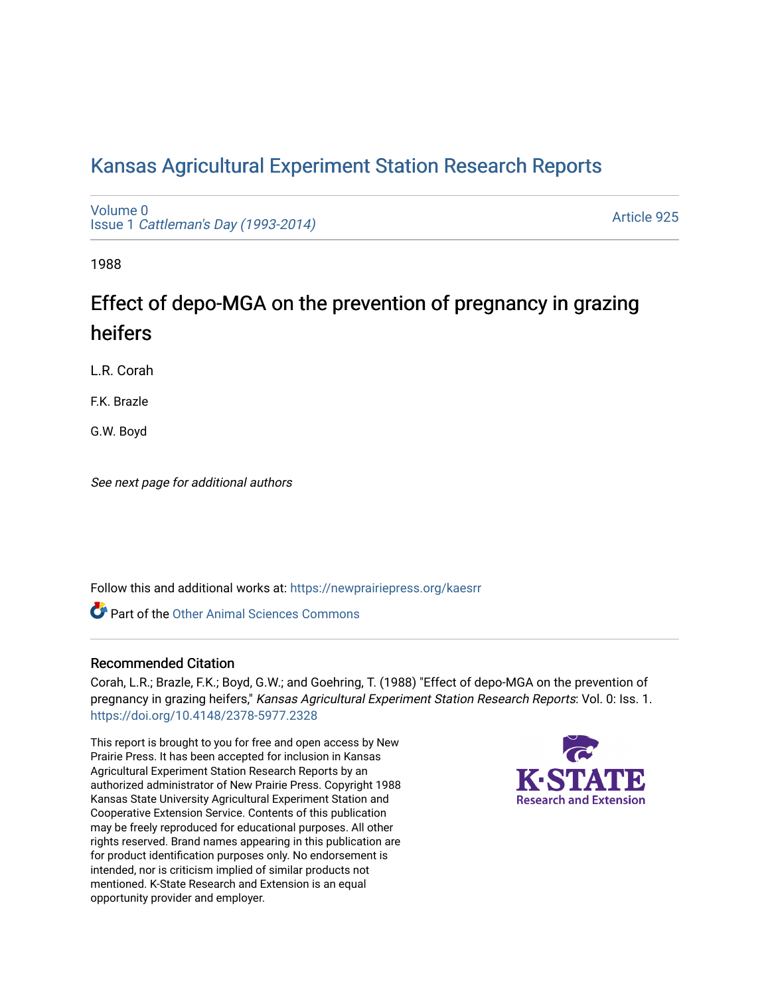# [Kansas Agricultural Experiment Station Research Reports](https://newprairiepress.org/kaesrr)

[Volume 0](https://newprairiepress.org/kaesrr/vol0) Issue 1 [Cattleman's Day \(1993-2014\)](https://newprairiepress.org/kaesrr/vol0/iss1) 

[Article 925](https://newprairiepress.org/kaesrr/vol0/iss1/925) 

1988

# Effect of depo-MGA on the prevention of pregnancy in grazing heifers

L.R. Corah

F.K. Brazle

G.W. Boyd

See next page for additional authors

Follow this and additional works at: [https://newprairiepress.org/kaesrr](https://newprairiepress.org/kaesrr?utm_source=newprairiepress.org%2Fkaesrr%2Fvol0%2Fiss1%2F925&utm_medium=PDF&utm_campaign=PDFCoverPages) 

**C** Part of the [Other Animal Sciences Commons](http://network.bepress.com/hgg/discipline/82?utm_source=newprairiepress.org%2Fkaesrr%2Fvol0%2Fiss1%2F925&utm_medium=PDF&utm_campaign=PDFCoverPages)

#### Recommended Citation

Corah, L.R.; Brazle, F.K.; Boyd, G.W.; and Goehring, T. (1988) "Effect of depo-MGA on the prevention of pregnancy in grazing heifers," Kansas Agricultural Experiment Station Research Reports: Vol. 0: Iss. 1. <https://doi.org/10.4148/2378-5977.2328>

This report is brought to you for free and open access by New Prairie Press. It has been accepted for inclusion in Kansas Agricultural Experiment Station Research Reports by an authorized administrator of New Prairie Press. Copyright 1988 Kansas State University Agricultural Experiment Station and Cooperative Extension Service. Contents of this publication may be freely reproduced for educational purposes. All other rights reserved. Brand names appearing in this publication are for product identification purposes only. No endorsement is intended, nor is criticism implied of similar products not mentioned. K-State Research and Extension is an equal opportunity provider and employer.

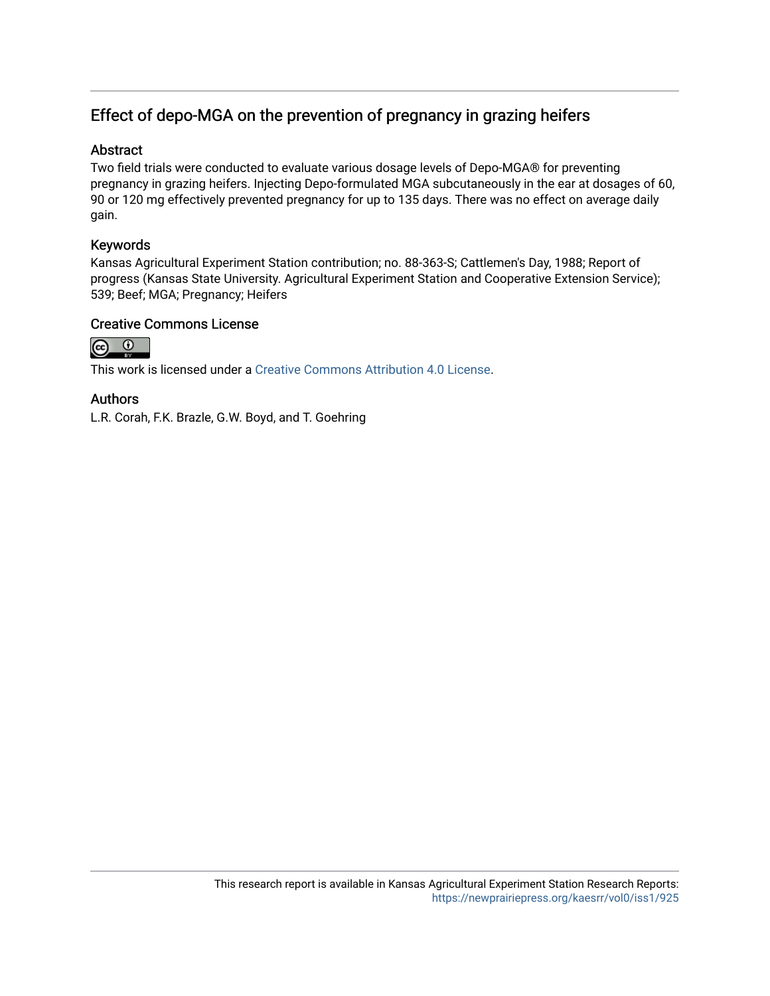## Effect of depo-MGA on the prevention of pregnancy in grazing heifers

#### Abstract

Two field trials were conducted to evaluate various dosage levels of Depo-MGA® for preventing pregnancy in grazing heifers. Injecting Depo-formulated MGA subcutaneously in the ear at dosages of 60, 90 or 120 mg effectively prevented pregnancy for up to 135 days. There was no effect on average daily gain.

### Keywords

Kansas Agricultural Experiment Station contribution; no. 88-363-S; Cattlemen's Day, 1988; Report of progress (Kansas State University. Agricultural Experiment Station and Cooperative Extension Service); 539; Beef; MGA; Pregnancy; Heifers

#### Creative Commons License



This work is licensed under a [Creative Commons Attribution 4.0 License](https://creativecommons.org/licenses/by/4.0/).

#### Authors

L.R. Corah, F.K. Brazle, G.W. Boyd, and T. Goehring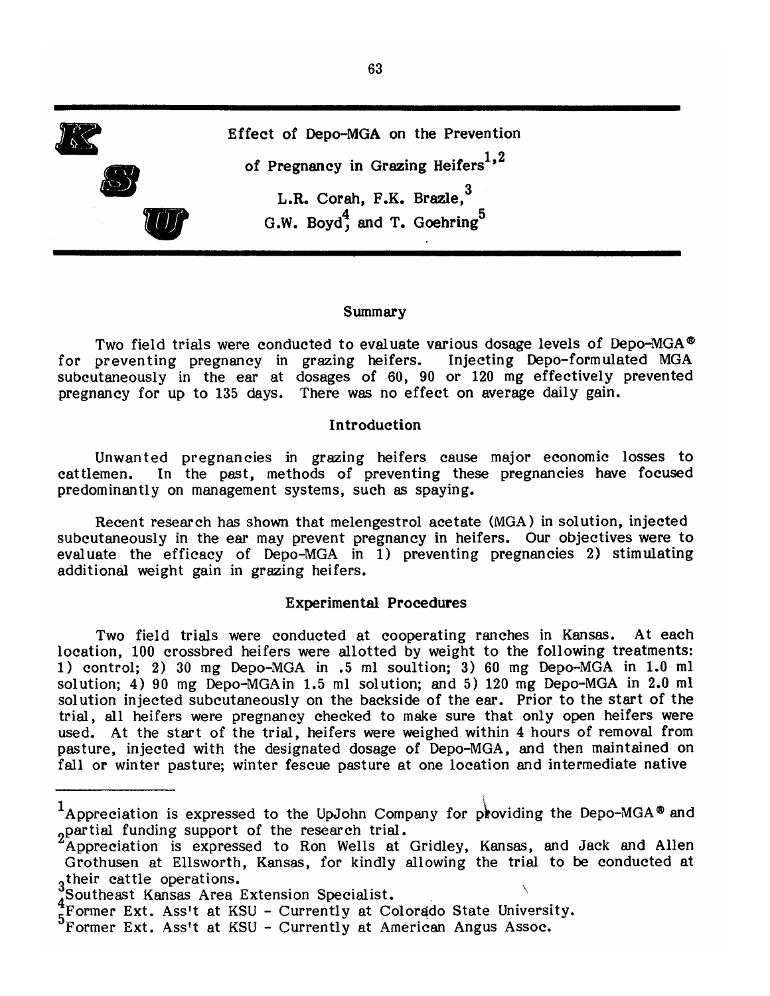

#### Summary

Two field trials were conducted to evaluate various dosage levels of Depo-MGA® for preventing pregnancy in grazing heifers. Injecting Depo-formulated MGA subcutaneously in the ear at dosages of 60, 90 or 120 mg effectively prevented pregnancy for up to 135 days. There was no effect on average daily gain.

#### Introduction

Unwanted pregnancies in grazing heifers cause major economic losses to In the past, methods of preventing these pregnancies have focused cattlemen. predominantly on management systems, such as spaying.

Recent research has shown that melengestrol acetate (MGA) in solution, injected subcutaneously in the ear may prevent pregnancy in heifers. Our objectives were to evaluate the efficacy of Depo-MGA in 1) preventing pregnancies 2) stimulating additional weight gain in grazing heifers.

#### **Experimental Procedures**

Two field trials were conducted at cooperating ranches in Kansas. At each location, 100 crossbred heifers were allotted by weight to the following treatments: 1) control; 2) 30 mg Depo-MGA in .5 ml soultion; 3) 60 mg Depo-MGA in 1.0 ml solution; 4) 90 mg Depo-MGA in 1.5 ml solution; and 5) 120 mg Depo-MGA in 2.0 ml solution injected subcutaneously on the backside of the ear. Prior to the start of the trial, all heifers were pregnancy checked to make sure that only open heifers were used. At the start of the trial, heifers were weighed within 4 hours of removal from pasture, injected with the designated dosage of Depo-MGA, and then maintained on fall or winter pasture; winter fescue pasture at one location and intermediate native

<sup>&</sup>lt;sup>1</sup>Appreciation is expressed to the UpJohn Company for providing the Depo-MGA<sup>®</sup> and partial funding support of the research trial.

Appreciation is expressed to Ron Wells at Gridley, Kansas, and Jack and Allen Grothusen at Ellsworth, Kansas, for kindly allowing the trial to be conducted at  $3\overline{)}$  their cattle operations.

Southeast Kansas Area Extension Specialist.

Former Ext. Ass't at KSU - Currently at Colorado State University.

<sup>5</sup> Former Ext. Ass't at KSU - Currently at American Angus Assoc.